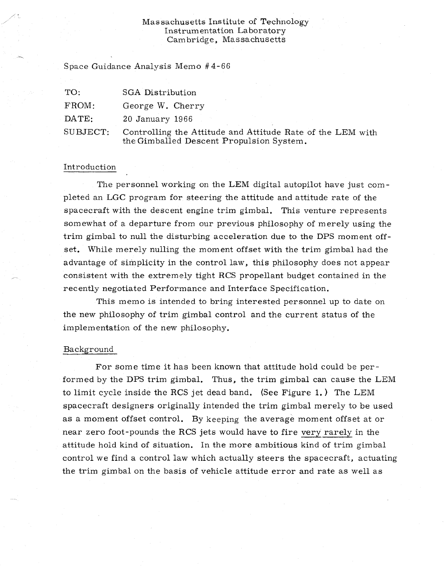# Massachusetts Institute of Technology Instrumentation Laboratory Cambridge, Massachusetts

Space Guidance Analysis Memo #4-66

| TO:      | SGA Distribution                                                                                       |
|----------|--------------------------------------------------------------------------------------------------------|
| FROM:    | George W. Cherry                                                                                       |
| DATE:    | $20$ January $1966$                                                                                    |
| SUBJECT: | Controlling the Attitude and Attitude Rate of the LEM with<br>the Gimballed Descent Propulsion System. |

## Introduction

The personnel working on the LEM digital autopilot have just completed an LGC program for steering the attitude and attitude rate of the spacecraft with the descent engine trim gimbal. This venture represents somewhat of a departure from our previous philosophy of merely using the trim gimbal to null the disturbing acceleration due to the DPS moment offset. While merely nulling the moment offset with the trim gimbal had the advantage of simplicity in the control law, this philosophy does not appear consistent with the extremely tight RCS propellant budget contained in the recently negotiated Performance and Interface Specification.

This memo is intended to bring interested personnel up to date on the new philosophy of trim gimbal control and the current status of the implementation of the new philosophy.

## Background

For some time it has been known that attitude hold could be performed by the DPS trim gimbal. Thus, the trim gimbal can cause the LEM to limit cycle inside the RCS jet dead band. (See Figure 1.) The LEM spacecraft designers originally intended the trim gimbal merely to be used as a moment offset control. By keeping the average moment offset at or near zero foot-pounds the RCS jets would have to fire very rarely in the attitude hold kind of situation. In the more ambitious kind of trim gimbal control we find a control law which actually steers the spacecraft, actuating the trim gimbal on the basis of vehicle attitude error and rate as well as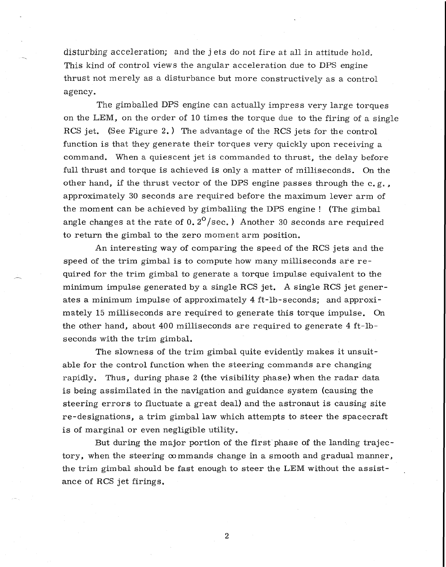disturbing acceleration; and the j ets do not fire at all in attitude hold. This kind of control views the angular acceleration due to DPS engine thrust not merely as a disturbance but more constructively as a control agency.

The gimballed DPS engine can actually impress very large torques on the LEM, on the order of 10 times the torque due to the firing of a single RCS jet. (See Figure 2.) The advantage of the RCS jets for the control function is that they generate their torques very quickly upon receiving a command. When a quiescent jet is commanded to thrust, the delay before full thrust and torque is achieved is only a matter of milliseconds. On the other hand, if the thrust vector of the DPS engine passes through the  $c, g, \ldots$ approximately 30 seconds are required before the maximum lever arm of the moment can be achieved by gimballing the DPS engine ! (The gimbal angle changes at the rate of  $0.2^{\circ}/\text{sec}$ .) Another 30 seconds are required to return the gimbal to the zero moment arm position.

An interesting way of comparing the speed of the RCS jets and the speed of the trim gimbal is to compute how many milliseconds are required for the trim gimbal to generate a torque impulse equivalent to the minimum impulse generated by a single RCS jet. A single RCS jet generates a minimum impulse of approximately 4 ft-lb-seconds; and approximately 15 milliseconds are required to generate this torque impulse. On the other hand, about 400 milliseconds are required to generate 4 ft-lbseconds with the trim gimbal.

The slowness of the trim gimbal quite evidently makes it unsuitable for the control function when the steering commands are changing rapidly. Thus, during phase 2 (the visibility phase) when the radar data is being assimilated in the navigation and guidance system (causing the steering errors to fluctuate a great deal) and the astronaut is causing site re-designations, a trim gimbal law which attempts to steer the spacecraft is of marginal or even negligible utility.

But during the major portion of the first phase of the landing trajectory, when the steering  $\infty$  mmands change in a smooth and gradual manner, the trim gimbal should be fast enough to steer the LEM without the assistance of RCS jet firings.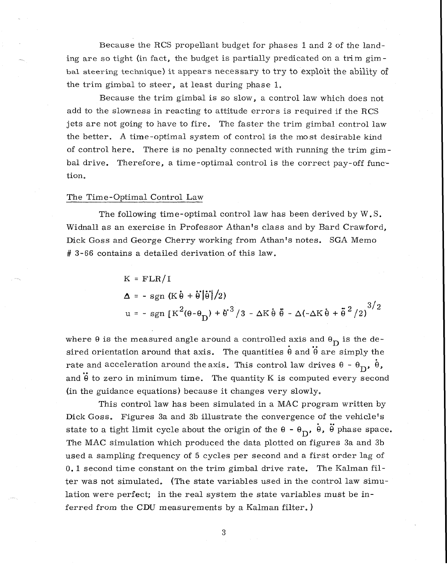Because the RCS propellant budget for phases 1 and 2 of the landing are so tight (in fact, the budget is partially predicated on a trim gimbal steering technique) it appears necessary to try to exploit the ability of the trim gimbal to steer, at least during phase 1.

Because the trim gimbal is so slow, a control law which does not add to the slowness in reacting to attitude errors is required if the RCS jets are not going to have to fire. The faster the trim gimbal control law the better. A time-optimal system of control is the most desirable kind of control here. There is no penalty connected with running the trim gimbal drive. Therefore, a time-optimal control is the correct pay-off function.

#### The Time-Optimal Control Law

The following time-optimal control law has been derived by W.S. Widnall as an exercise in Professor Athan's class and by Bard Crawford, Dick Goss and George Cherry working from Athan's notes. SGA Memo # 3-66 contains a detailed derivation of this law.

$$
K = FLR/I
$$
\n
$$
\Delta = - \operatorname{sgn} (K \dot{\theta} + \dot{\theta} | \dot{\theta} | / 2)
$$
\n
$$
u = - \operatorname{sgn} [K^{2}(\theta - \theta_{D}) + {\dot{\theta}^{3}} / 3 - \Delta K \dot{\theta} \ddot{\theta} - \Delta(-\Delta K \dot{\theta} + \ddot{\theta}^{2} / 2)^{3/2}]
$$

where  $\theta$  is the measured angle around a controlled axis and  $\theta_D$  is the desired orientation around that axis. The quantities  $\dot{\theta}$  and  $\ddot{\theta}$  are simply the rate and acceleration around the axis. This control law drives  $\theta - \theta_D$ ,  $\dot{\theta}$ , and  $\ddot{\theta}$  to zero in minimum time. The quantity K is computed every second (in the guidance equations) because it changes very slowly.

This control law has been simulated in a MAC program written by Dick Goss. Figures 3a and 3b illustrate the convergence of the vehicle's state to a tight limit cycle about the origin of the  $\theta$  -  $\theta$ <sub>D</sub>,  $\dot{\theta}$ ,  $\ddot{\theta}$  phase space. The MAC simulation which produced the data plotted on figures 3a and 3b used a sampling frequency of 5 cycles per second and a first order lag of 0.1 second time constant on the trim gimbal drive rate. The Kalman filter was not simulated. (The state variables used in the control law simulation were perfect; in the real system the state variables must be inferred from the CDU measurements by a Kalman filter. )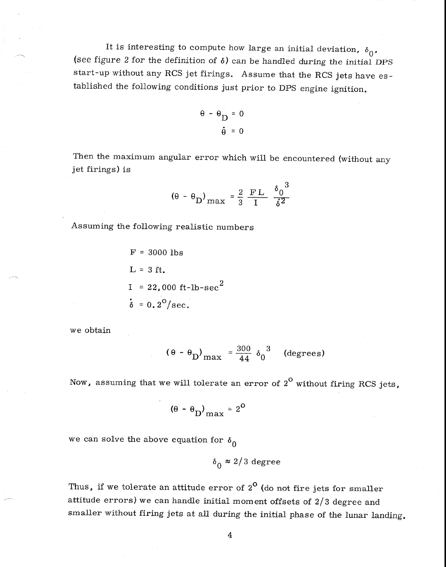It is interesting to compute how large an initial deviation,  $\delta_0$ , (see figure 2 for the definition of  $\delta$ ) can be handled during the initial DPS start-up without any RCS jet firings. Assume that the RCS jets have established the following conditions just prior to DPS engine ignition.

$$
\theta - \theta_{\mathbf{D}} = 0
$$

$$
\dot{\mathbf{\theta}} = 0
$$

Then the maximum angular error which will be encountered (without any jet firings) is

$$
(\theta - \theta_{\rm D})_{\rm max} = \frac{2}{3} \frac{\rm FL}{\rm I} \frac{\delta_0^3}{\dot{\delta}^2}
$$

Assuming the following realistic numbers

F = 3000 lbs L = 3 ft. I = 22,000 ft-lb-sec <sup>2</sup> = 0.2°/sec.

we obtain

$$
(\theta - \theta_{\text{D}})_{\text{max}} = \frac{300}{44} \delta_0^3 \quad \text{(degrees)}
$$

Now, assuming that we will tolerate an error of  $2^{\text{o}}$  without firing RCS jets,

$$
(0 - \theta_{\rm D})_{\rm max} = 2^{\rm O}
$$

we can solve the above equation for  $\delta_0$ 

$$
\delta_0 \approx 2/3 \text{ degree}
$$

Thus, if we tolerate an attitude error of  $2^{\mathsf{O}}$  (do not fire jets for smaller attitude errors) we can handle initial moment offsets of 2/3 degree and smaller without firing jets at all during the initial phase of the lunar landing.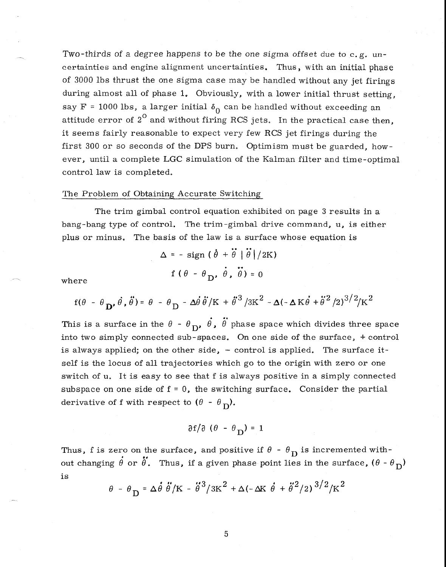Two-thirds of a degree happens to be the one sigma offset due to  $c, g$ , uncertainties and engine alignment uncertainties. Thus, with an initial phase of 3000 lbs thrust the one sigma case may be handled without any jet firings during almost all of phase 1. Obviously, with a lower initial thrust setting. say F = 1000 lbs, a larger initial  $\delta_0$  can be handled without exceeding an attitude error of  $2^{\circ}$  and without firing RCS jets. In the practical case then, it seems fairly reasonable to expect very few RCS jet firings during the first 300 or so seconds of the DPS burn, Optimism must be guarded, however, until a complete LGC simulation of the Kalman filter and time-optimal control law is completed.

## The Problem of Obtaining Accurate Switching

The trim gimbal control equation exhibited on page 3 results in a bang-bang type of control. The trim-gimbal drive command, u, is either plus or minus. The basis of the law is a surface whose equation is

$$
\Delta = - \operatorname{sign} \left( \hat{\theta} + \ddot{\theta} \mid \ddot{\theta} \right) / 2K
$$
  
  $f (\theta - \theta_D, \dot{\theta}, \ddot{\theta}) = 0$ 

where

$$
f(\theta - \theta_{\mathbf{D}}, \dot{\theta}, \ddot{\theta}) = \theta - \theta_{\mathbf{D}} - \Delta \dot{\theta} \ddot{\theta} / \mathbf{K} + \ddot{\theta}^{3} / 3\mathbf{K}^{2} - \Delta(-\Delta \mathbf{K} \dot{\theta} + \ddot{\theta}^{2} / 2)^{3/2} / \mathbf{K}^{2}
$$

This is a surface in the  $\theta$  -  $\theta$ <sub>D</sub>,  $\dot{\theta}$ ,  $\dot{\theta}$  phase space which divides three space into two simply connected sub-spaces. On one side of the surface, + control is always applied; on the other side,  $-$  control is applied. The surface itself is the locus of all trajectories which go to the origin with zero or one switch of u. It is easy to see that f is always positive in a simply connected subspace on one side of  $f = 0$ , the switching surface. Consider the partial derivative of f with respect to  $(\theta - \theta_{\rm D})$ .

$$
\partial f/\partial (\theta - \theta_D) = 1
$$

Thus, f is zero on the surface, and positive if  $\theta$  -  $\theta$ <sub>D</sub> is incremented without changing  $\hat{\theta}$  or  $\hat{\theta}$ . Thus, if a given phase point lies in the surface,  $(\theta - \theta_{\overline{D}})$ is

$$
\theta - \theta_{\rm D} = \Delta \dot{\theta} \ddot{\theta} / \text{K} - \ddot{\theta}^3 / 3 \text{K}^2 + \Delta (-\Delta \text{K} \dot{\theta} + \ddot{\theta}^2 / 2) \frac{3}{2} / \text{K}^2
$$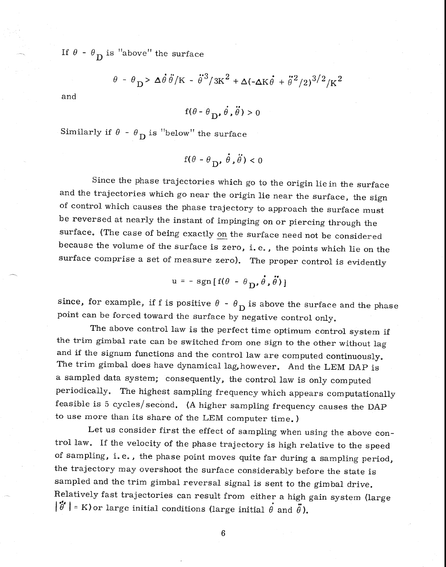If  $\theta$  -  $\theta$ <sub>D</sub> is "above" the surface

$$
\theta - \theta_{\rm D} > \Delta \dot{\theta} \dot{\theta} / \text{K} - \dot{\theta}^3 / 3 \text{K}^2 + \Delta (-\Delta \text{K} \dot{\theta} + \ddot{\theta}^2 / 2)^{3/2} / \text{K}^2
$$

and

$$
f(\theta - \theta_D, \dot{\theta}, \ddot{\theta}) > 0
$$

Similarly if  $\theta$  -  $\theta$ <sub>D</sub> is "below" the surface

$$
f(\theta - \theta_D, \dot{\theta}, \ddot{\theta}) < 0
$$

Since the phase trajectories which go to the origin lie in the surface and the trajectories which go near the origin lie near the surface, the sign of control which causes the phase trajectory to approach the surface must be reversed at nearly the instant of impinging on or piercing through the surface. (The case of being exactly on the surface need not be considered because the volume of the surface is zero, i. e. , the points which lie on the surface comprise a set of measure zero). The proper control is evidently

$$
u = - sgn[f(\theta - \theta_D, \dot{\theta}, \ddot{\theta})]
$$

since, for example, if f is positive  $\theta - \theta_D$  is above the surface and the phase point can be forced toward the surface by negative control only.

The above control law is the perfect time optimum control system if the trim gimbal rate can be switched from one sign to the other without lag and if the signum functions and the control law are computed continuously. The trim gimbal does have dynamical lag,however. And the LEM DAP is a sampled data system; consequently, the control law is only computed periodically. The highest sampling frequency which appears computationally feasible is 5 cycles/second. (A higher sampling frequency causes the DAP to use more than its share of the LEM computer time. )

Let us consider first the effect of sampling when using the above control law. If the velocity of the phase trajectory is high relative to the speed of sampling, i. e. , the phase point moves quite far during a sampling period, the trajectory may overshoot the surface considerably before the state is sampled and the trim gimbal reversal signal is sent to the gimbal drive. Relatively fast trajectories can result from either a high gain system (large  $|\ddot{\theta}'|$  = K) or large initial conditions (large initial  $\dot{\theta}$  and  $\ddot{\theta}$ ).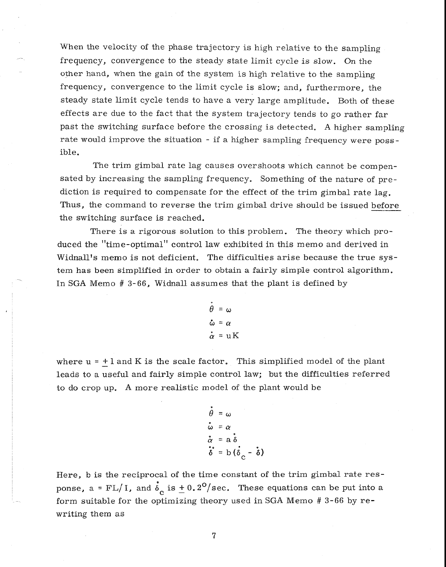When the velocity of the phase trajectory is high relative to the sampling frequency, convergence to the steady state limit cycle is slow. On the other hand, when the gain of the system is high relative to the sampling frequency, convergence to the limit cycle is slow; and, furthermore, the steady state limit cycle tends to have a very large amplitude. Both of these effects are due to the fact that the system trajectory tends to go rather far past the switching surface before the crossing is detected. A higher sampling rate would improve the situation - if a higher sampling frequency were possible.

The trim gimbal rate lag causes overshoots which cannot be compensated by increasing the sampling frequency. Something of the nature of prediction is required to compensate for the effect of the trim gimbal rate lag. Thus, the command to reverse the trim gimbal drive should be issued before the switching surface is reached.

There is a rigorous solution to this problem. The theory which produced the "time-optimal" control law exhibited in this memo and derived in Widnall's memo is not deficient. The difficulties arise because the true system has been simplified in order to obtain a fairly simple control algorithm. In SGA Memo # 3-66, Widnall assumes that the plant is defined by

$$
\ddot{\theta} = \omega
$$
  

$$
\dot{\omega} = \alpha
$$
  

$$
\dot{\alpha} = uK
$$

where  $u = +1$  and K is the scale factor. This simplified model of the plant leads to a useful and fairly simple control law; but the difficulties referred to do crop up. A more realistic model of the plant would be

$$
\dot{\theta} = \omega
$$
\n
$$
\dot{\omega} = \alpha
$$
\n
$$
\dot{\alpha} = a \delta
$$
\n
$$
\dot{\delta} = b (\dot{\delta}_{c} - \dot{\delta})
$$

Here, b is the reciprocal of the time constant of the trim gimbal rate response, a = FL/I, and  $\dot{\delta}_c$  is  $\pm$  0.2<sup>o</sup>/sec. These equations can be put into a form suitable for the optimizing theory used in SGA Memo # 3-66 by rewriting them as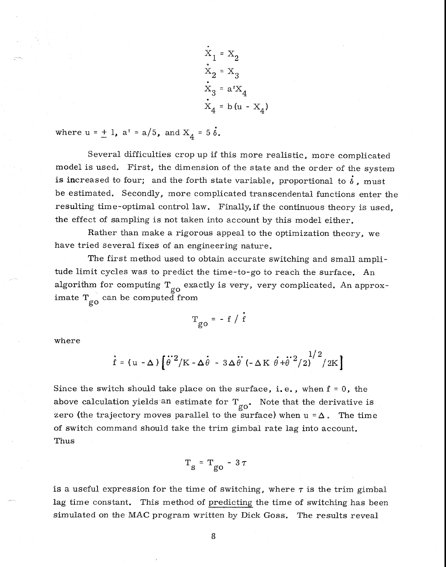$X_1 = X_2$  $\dot{\mathbf{x}}_2 = \mathbf{x}_3$  $X_3 = a^t X_4$  $X_4 = b(u - X_4)$ 

where  $u = \pm 1$ ,  $a' = a/5$ , and  $X_4 = 5 \dot{\delta}$ .

Several difficulties crop up if this more realistic, more complicated model is used. First, the dimension of the state and the order of the system is increased to four; and the forth state variable, proportional to  $\dot{\delta}$ , must be estimated. Secondly, more complicated transcendental functions enter the resulting time-optimal control law. Finally, if the continuous theory is used, the effect of sampling is not taken into account by this model either.

Rather than make a rigorous appeal to the optimization theory, we have tried several fixes of an engineering nature.

The first method used to obtain accurate switching and small amplitude limit cycles was to predict the time-to-go to reach the surface. An  $_{\rm a}$  algorithm for computing  $_{\rm g o}$  exactly is very, very complicated. An approx- $\lim \limits_{\substack{\longrightarrow \\ \text{go}}}$  can be computed from

$$
T_{go} = - f / \dot{f}
$$

where

$$
\dot{\mathbf{f}} = (\mathbf{u} - \boldsymbol{\Delta}) \left[ \dot{\theta}^2 / \mathbf{K} - \boldsymbol{\Delta} \dot{\theta} - 3 \boldsymbol{\Delta} \dot{\theta}^2 \left( - \boldsymbol{\Delta} \mathbf{K} \dot{\theta} + \dot{\theta}^2 / 2 \right)^{1/2} / 2 \mathbf{K} \right]
$$

Since the switch should take place on the surface, i.e., when  $f = 0$ , the above calculation yields an estimate for  $T_{\text{go}}$ . Note that the derivative is zero (the trajectory moves parallel to the surface) when  $u = \Delta$ . The time of switch command should take the trim gimbal rate lag into account. Thus

$$
T_{\rm g} = T_{\rm go} - 3\,\tau
$$

is a useful expression for the time of switching, where  $\tau$  is the trim gimbal lag time constant. This method of predicting the time of switching has been simulated on the MAC program written by Dick Goss. The results reveal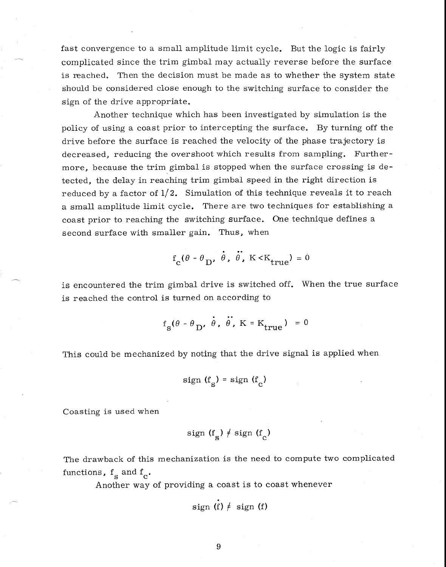fast convergence to a small amplitude limit cycle. But the logic is fairly complicated since the trim gimbal may actually reverse before the surface is reached. Then the decision must be made as to whether the system state should be considered close enough to the switching surface to consider the sign of the drive appropriate.

Another technique which has been investigated by simulation is the policy of using a coast prior to intercepting the surface. By turning off the drive before the surface is reached the velocity of the phase trajectory is decreased, reducing the overshoot which results from sampling. Furthermore, because the trim gimbal is stopped when the surface crossing is detected, the delay in reaching trim gimbal speed in the right direction is reduced by a factor of  $1/2$ . Simulation of this technique reveals it to reach a small amplitude limit cycle. There are two techniques for establishing a coast prior to reaching the switching surface. One technique defines a second surface with smaller gain. Thus, when

$$
f_c(\theta - \theta_D, \dot{\theta}, \ddot{\theta}, K \ll K_{true}) = 0
$$

is encountered the trim gimbal drive is switched off. When the true surface is reached the control is turned on according to

$$
f_s(\theta - \theta_D, \dot{\theta}, \ddot{\theta}, K = K_{true}) = 0
$$

This could be mechanized by noting that the drive signal is applied when

$$
sign(f_{\rm c}) = sign(f_{\rm c})
$$

Coasting is used when

sign 
$$
(f_s) \neq sign(f_c)
$$

The drawback of this mechanization is the need to compute two complicated functions,  $f_{\rm g}$  and  $f_{\rm g}$ .

Another way of providing a coast is to coast whenever

$$
sign(f) \neq sign(f)
$$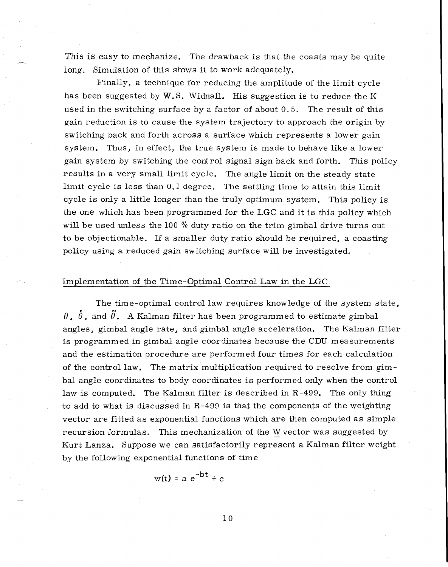This is easy to mechanize. The drawback is that the coasts may be quite long. Simulation of this shows it to work adequately.

Finally, a technique for reducing the amplitude of the limit cycle has been suggested by  $W.S.$  Widnall. His suggestion is to reduce the K used in the switching surface by a factor of about 0.5. The result of this gain reduction is to cause the system trajectory to approach the origin by switching back and forth across a surface which represents a lower gain system. Thus, in effect, the true system is made to behave like a lower gain system by switching the control signal sign back and forth. This policy results in a very small limit cycle. The angle limit on the steady state limit cycle is less than 0.1 degree. The settling time to attain this limit cycle is only a little longer than the truly optimum system. This policy is the one which has been programmed for the LGC and it is this policy which will be used unless the 100 % duty ratio on the trim gimbal drive turns out to be objectionable. If a smaller duty ratio should be required, a coasting policy using a reduced gain switching surface will be investigated.

### Implementation of the Time-Optimal Control Law in the LGC

The time-optimal control law requires knowledge of the system state,  $\theta$ ,  $\dot{\theta}$ , and  $\ddot{\theta}$ . A Kalman filter has been programmed to estimate gimbal angles, gimbal angle rate, and gimbal angle acceleration. The Kalman filter is programmed in gimbal angle coordinates because the CDU measurements and the estimation procedure are performed four times for each calculation of the control law. The matrix multiplication required to resolve from gimbal angle coordinates to body coordinates is performed only when the control law is computed. The Kalman filter is described in R-499. The only thing to add to what is discussed in R-499 is that the components of the weighting vector are fitted as exponential functions which are then computed as simple recursion formulas. This mechanization of the W vector was suggested by Kurt Lanza. Suppose we can satisfactorily represent a Kalman filter weight by the following exponential functions of time

$$
w(t) = a e^{-bt} + c
$$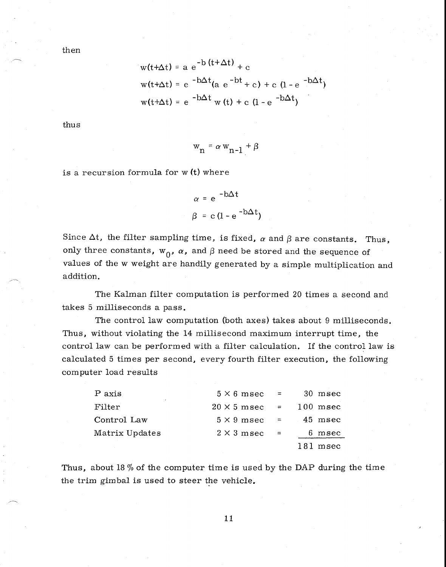then

$$
w(t+\Delta t) = a e^{-b(t+\Delta t)} + c
$$
  
 
$$
w(t+\Delta t) = e^{-b\Delta t}(a e^{-bt} + c) + c (1 - e^{-b\Delta t})
$$
  
 
$$
w(t+\Delta t) = e^{-b\Delta t} w(t) + c (1 - e^{-b\Delta t})
$$

thus

$$
w_n = \alpha w_{n-1} + \beta
$$

is a recursion formula for  $w(t)$  where

$$
\alpha = e^{-b\Delta t}
$$

$$
\beta = c (1 - e^{-b\Delta t})
$$

Since  $\Delta t$ , the filter sampling time, is fixed,  $\alpha$  and  $\beta$  are constants. Thus, only three constants,  $w_0$ ,  $\alpha$ , and  $\beta$  need be stored and the sequence of values of the w weight are handily generated by a simple multiplication and addition.

The Kalman filter computation is performed 20 times a second and takes 5 milliseconds a pass.

The control law computation (both axes) takes about 9 milliseconds. Thus, without violating the 14 millisecond maximum interrupt time, the control law can be performed with a filter calculation. If the control law is calculated 5 times per second, every fourth filter execution, the following computer load results

| P axis         | $5 \times 6$ msec  | $\mathcal{L} = \mathcal{L}$ | 30 msec    |
|----------------|--------------------|-----------------------------|------------|
| Filter         | $20 \times 5$ msec | $=$                         | $100$ msec |
| Control Law    | $5 \times 9$ msec  | $=$                         | 45 msec    |
| Matrix Updates | $2 \times 3$ m sec | $\equiv$                    | 6.<br>msec |
|                |                    |                             | 181 msec   |

Thus, about 18  $%$  of the computer time is used by the DAP during the time the trim gimbal is used to steer the vehicle.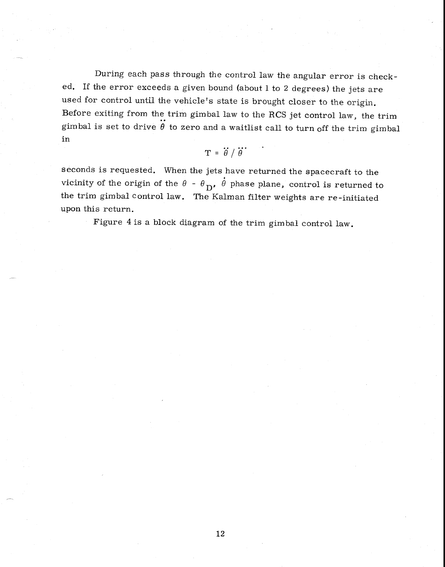During each pass through the control law the angular error is checked. If the error exceeds a given bound (about 1 to 2 degrees) the jets are used for control until the vehicle's state is brought closer to the origin. Before exiting from the trim gimbal law to the RCS jet control law, the trim gimbal is set to drive  $\ddot{\theta}$  to zero and a waitlist call to turn off the trim gimbal in

$$
T = \ddot{\theta} / \ddot{\theta}
$$

seconds is requested. When the jets have returned the spacecraft to the vicinity of the origin of the  $\theta$  -  $\theta$ <sub>D</sub>,  $\dot{\theta}$  phase plane, control is returned to the trim gimbal control law. The Kalman filter weights are re-initiated upon this return.

Figure 4 is a block diagram of the trim gimbal control law.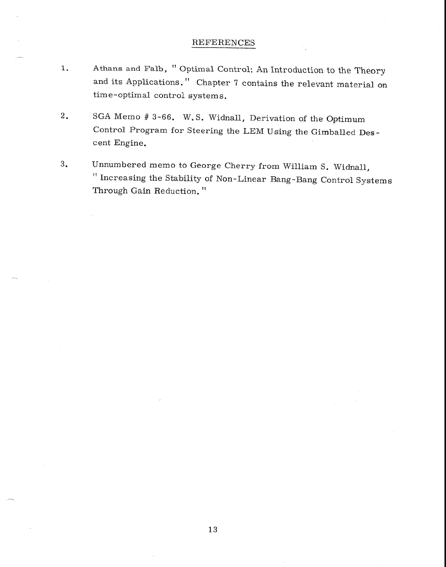# REFERENCES

- 1. Athans and Falb, "Optimal Control: An Introduction to the Theory and its Applications." Chapter 7 contains the relevant material on time-optimal control systems.
- 2. SGA Memo # 3-66. W.S. Widnall, Derivation of the Optimum Control Program for Steering the LEM Using the Gimballed Descent Engine.
- 3. Unnumbered memo to George Cherry from William S. Widnall, " Increasing the Stability of Non-Linear Bang-Bang Control Systems Through Gain Reduction. "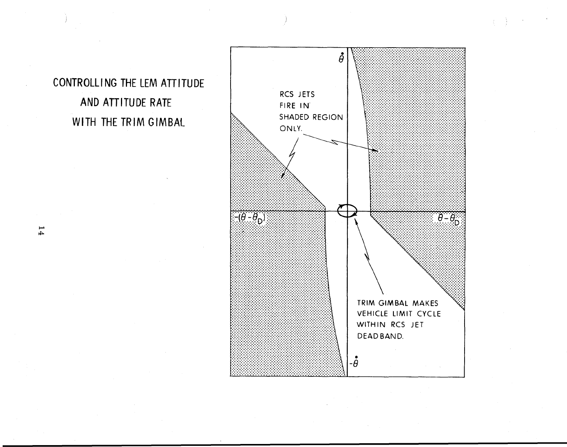CONTROLLING THE LEM ATTITUDE AND ATTITUDE RATE WITH THE TRIM GIMBAL



 $\mathbf{1}4$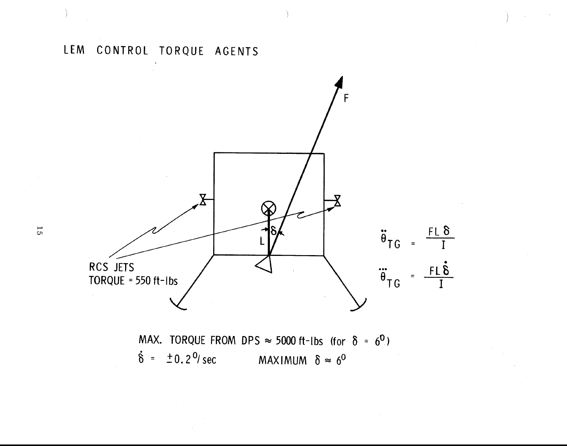

MAX. TORQUE FROM DPS  $\approx$  5000 ft-lbs (for  $\delta = 6^0$ )  $\dot{\delta}$  =  $\pm 0.2^{\circ}$ /sec MAXIMUM  $\delta \approx 6^{\circ}$ 

 $\overline{5}$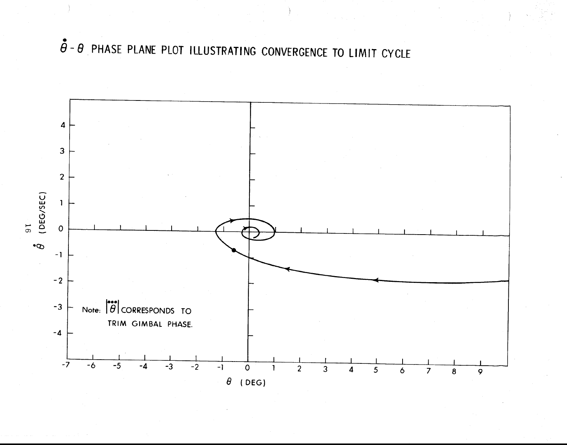$\ddot{\hat{\theta}}$  -  $\theta$  PHASE PLANE PLOT ILLUSTRATING CONVERGENCE TO LIMIT CYCLE

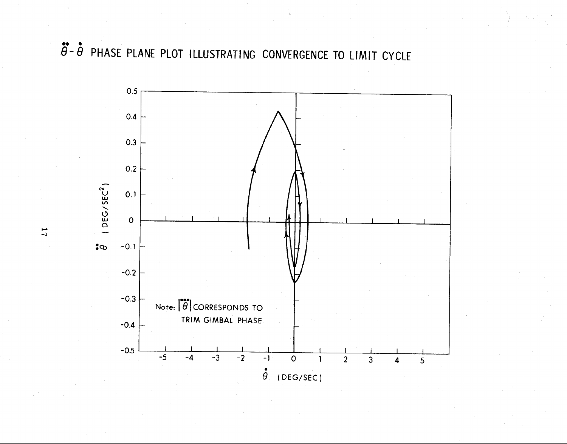$\ddot{\theta}$  -  $\dot{\theta}$  PHASE PLANE PLOT ILLUSTRATING CONVERGENCE TO LIMIT CYCLE



 $\overline{L}$